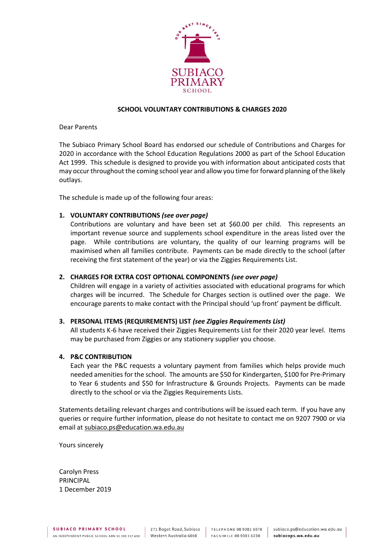

## **SCHOOL VOLUNTARY CONTRIBUTIONS & CHARGES 2020**

Dear Parents

The Subiaco Primary School Board has endorsed our schedule of Contributions and Charges for 2020 in accordance with the School Education Regulations 2000 as part of the School Education Act 1999. This schedule is designed to provide you with information about anticipated costs that may occur throughout the coming school year and allow you time for forward planning of the likely outlays.

The schedule is made up of the following four areas:

## **1. VOLUNTARY CONTRIBUTIONS** *(see over page)*

Contributions are voluntary and have been set at \$60.00 per child. This represents an important revenue source and supplements school expenditure in the areas listed over the page. While contributions are voluntary, the quality of our learning programs will be maximised when all families contribute. Payments can be made directly to the school (after receiving the first statement of the year) or via the Ziggies Requirements List.

# **2. CHARGES FOR EXTRA COST OPTIONAL COMPONENTS** *(see over page)*

Children will engage in a variety of activities associated with educational programs for which charges will be incurred. The Schedule for Charges section is outlined over the page. We encourage parents to make contact with the Principal should 'up front' payment be difficult.

### **3. PERSONAL ITEMS (REQUIREMENTS) LIST** *(see Ziggies Requirements List)*

All students K-6 have received their Ziggies Requirements List for their 2020 year level. Items may be purchased from Ziggies or any stationery supplier you choose.

### **4. P&C CONTRIBUTION**

Each year the P&C requests a voluntary payment from families which helps provide much needed amenities for the school. The amounts are \$50 for Kindergarten, \$100 for Pre-Primary to Year 6 students and \$50 for Infrastructure & Grounds Projects. Payments can be made directly to the school or via the Ziggies Requirements Lists.

Statements detailing relevant charges and contributions will be issued each term. If you have any queries or require further information, please do not hesitate to contact me on 9207 7900 or via email at [subiaco.ps@education.wa.edu.au](mailto:subiaco.ps@education.wa.edu.au)

Yours sincerely

Carolyn Press PRINCIPAL 1 December 2019